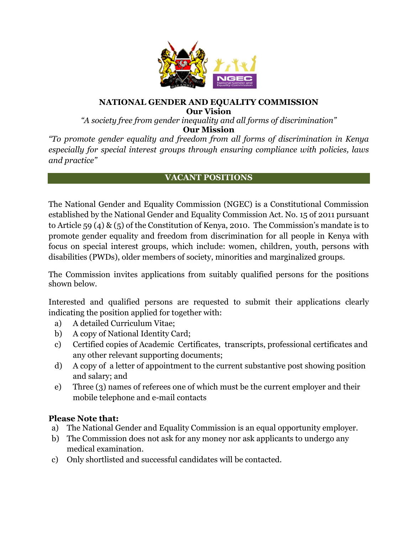

## **NATIONAL GENDER AND EQUALITY COMMISSION Our Vision**

*"A society free from gender inequality and all forms of discrimination"* **Our Mission**

*"To promote gender equality and freedom from all forms of discrimination in Kenya especially for special interest groups through ensuring compliance with policies, laws and practice"*

## **VACANT POSITIONS**

The National Gender and Equality Commission (NGEC) is a Constitutional Commission established by the National Gender and Equality Commission Act. No. 15 of 2011 pursuant to Article 59 (4) & (5) of the Constitution of Kenya, 2010. The Commission's mandate is to promote gender equality and freedom from discrimination for all people in Kenya with focus on special interest groups, which include: women, children, youth, persons with disabilities (PWDs), older members of society, minorities and marginalized groups.

The Commission invites applications from suitably qualified persons for the positions shown below.

Interested and qualified persons are requested to submit their applications clearly indicating the position applied for together with:

- a) A detailed Curriculum Vitae;
- b) A copy of National Identity Card;
- c) Certified copies of Academic Certificates, transcripts, professional certificates and any other relevant supporting documents;
- d) A copy of a letter of appointment to the current substantive post showing position and salary; and
- e) Three (3) names of referees one of which must be the current employer and their mobile telephone and e-mail contacts

# **Please Note that:**

- a) The National Gender and Equality Commission is an equal opportunity employer.
- b) The Commission does not ask for any money nor ask applicants to undergo any medical examination.
- c) Only shortlisted and successful candidates will be contacted.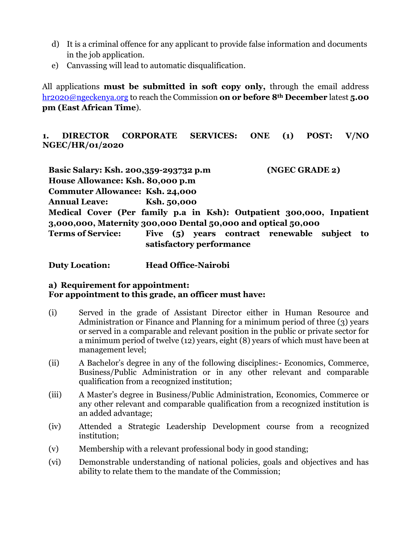- d) It is a criminal offence for any applicant to provide false information and documents in the job application.
- e) Canvassing will lead to automatic disqualification.

All applications **must be submitted in soft copy only,** through the email address [hr2020@ngeckenya.org](mailto:hr2020@ngeckenya.org) to reach the Commission **on or before 8th December** latest **5.00 pm (East African Time**).

**1. DIRECTOR CORPORATE SERVICES: ONE (1) POST: V/NO NGEC/HR/01/2020**

**Basic Salary: Ksh. 200,359-293732 p.m (NGEC GRADE 2) House Allowance: Ksh. 80,000 p.m Commuter Allowance: Ksh. 24,000 Annual Leave: Ksh. 50,000 Medical Cover (Per family p.a in Ksh): Outpatient 300,000, Inpatient 3,000,000, Maternity 300,000 Dental 50,000 and optical 50,000 Terms of Service: Five (5) years contract renewable subject to satisfactory performance**

**Duty Location: Head Office-Nairobi**

# **a) Requirement for appointment: For appointment to this grade, an officer must have:**

- (i) Served in the grade of Assistant Director either in Human Resource and Administration or Finance and Planning for a minimum period of three (3) years or served in a comparable and relevant position in the public or private sector for a minimum period of twelve (12) years, eight (8) years of which must have been at management level;
- (ii) A Bachelor's degree in any of the following disciplines:- Economics, Commerce, Business/Public Administration or in any other relevant and comparable qualification from a recognized institution;
- (iii) A Master's degree in Business/Public Administration, Economics, Commerce or any other relevant and comparable qualification from a recognized institution is an added advantage;
- (iv) Attended a Strategic Leadership Development course from a recognized institution;
- (v) Membership with a relevant professional body in good standing;
- (vi) Demonstrable understanding of national policies, goals and objectives and has ability to relate them to the mandate of the Commission;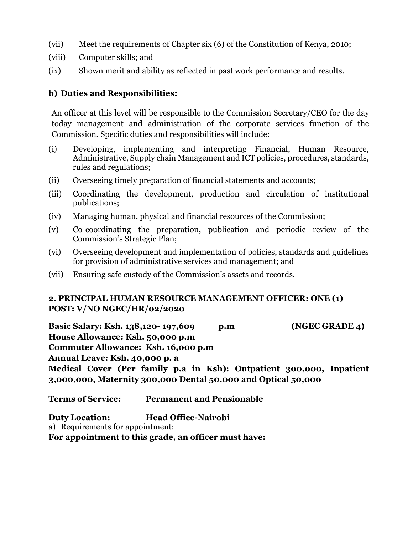- (vii) Meet the requirements of Chapter six (6) of the Constitution of Kenya, 2010;
- (viii) Computer skills; and
- (ix) Shown merit and ability as reflected in past work performance and results.

## **b) Duties and Responsibilities:**

An officer at this level will be responsible to the Commission Secretary/CEO for the day today management and administration of the corporate services function of the Commission. Specific duties and responsibilities will include:

- (i) Developing, implementing and interpreting Financial, Human Resource, Administrative, Supply chain Management and ICT policies, procedures, standards, rules and regulations;
- (ii) Overseeing timely preparation of financial statements and accounts;
- (iii) Coordinating the development, production and circulation of institutional publications;
- (iv) Managing human, physical and financial resources of the Commission;
- (v) Co-coordinating the preparation, publication and periodic review of the Commission's Strategic Plan;
- (vi) Overseeing development and implementation of policies, standards and guidelines for provision of administrative services and management; and
- (vii) Ensuring safe custody of the Commission's assets and records.

# **2. PRINCIPAL HUMAN RESOURCE MANAGEMENT OFFICER: ONE (1) POST: V/NO NGEC/HR/02/2020**

**Basic Salary: Ksh. 138,120- 197,609 p.m (NGEC GRADE 4) House Allowance: Ksh. 50,000 p.m Commuter Allowance: Ksh. 16,000 p.m Annual Leave: Ksh. 40,000 p. a Medical Cover (Per family p.a in Ksh): Outpatient 300,000, Inpatient 3,000,000, Maternity 300,000 Dental 50,000 and Optical 50,000**

**Terms of Service: Permanent and Pensionable** 

**Duty Location: Head Office-Nairobi**

a) Requirements for appointment:

**For appointment to this grade, an officer must have:**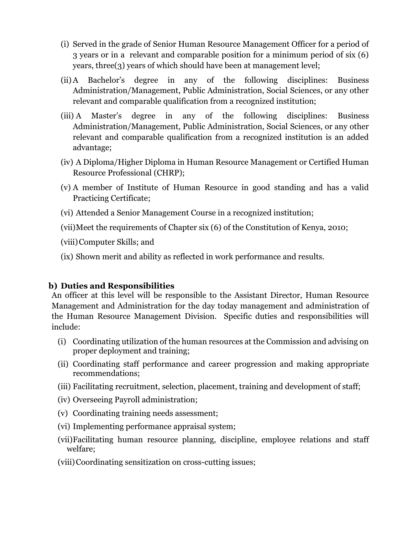- (i) Served in the grade of Senior Human Resource Management Officer for a period of 3 years or in a relevant and comparable position for a minimum period of six (6) years, three(3) years of which should have been at management level;
- (ii)A Bachelor's degree in any of the following disciplines: Business Administration/Management, Public Administration, Social Sciences, or any other relevant and comparable qualification from a recognized institution;
- (iii) A Master's degree in any of the following disciplines: Business Administration/Management, Public Administration, Social Sciences, or any other relevant and comparable qualification from a recognized institution is an added advantage;
- (iv) A Diploma/Higher Diploma in Human Resource Management or Certified Human Resource Professional (CHRP);
- (v) A member of Institute of Human Resource in good standing and has a valid Practicing Certificate;
- (vi) Attended a Senior Management Course in a recognized institution;
- (vii)Meet the requirements of Chapter six (6) of the Constitution of Kenya, 2010;
- (viii)Computer Skills; and
- (ix) Shown merit and ability as reflected in work performance and results.

# **b) Duties and Responsibilities**

An officer at this level will be responsible to the Assistant Director, Human Resource Management and Administration for the day today management and administration of the Human Resource Management Division. Specific duties and responsibilities will include:

- (i) Coordinating utilization of the human resources at the Commission and advising on proper deployment and training;
- (ii) Coordinating staff performance and career progression and making appropriate recommendations;
- (iii) Facilitating recruitment, selection, placement, training and development of staff;
- (iv) Overseeing Payroll administration;
- (v) Coordinating training needs assessment;
- (vi) Implementing performance appraisal system;
- (vii)Facilitating human resource planning, discipline, employee relations and staff welfare;
- (viii)Coordinating sensitization on cross-cutting issues;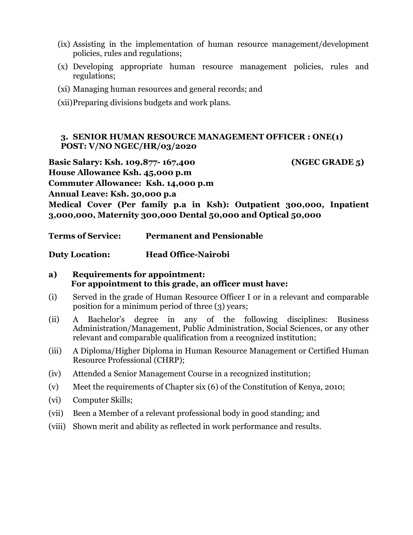- (ix) Assisting in the implementation of human resource management/development policies, rules and regulations;
- (x) Developing appropriate human resource management policies, rules and regulations;
- (xi) Managing human resources and general records; and
- (xii)Preparing divisions budgets and work plans.

#### **3. SENIOR HUMAN RESOURCE MANAGEMENT OFFICER : ONE(1) POST: V/NO NGEC/HR/03/2020**

**Basic Salary: Ksh. 109,877- 167,400 (NGEC GRADE 5)**

**House Allowance Ksh. 45,000 p.m**

**Commuter Allowance: Ksh. 14,000 p.m**

**Annual Leave: Ksh. 30,000 p.a**

**Medical Cover (Per family p.a in Ksh): Outpatient 300,000, Inpatient 3,000,000, Maternity 300,000 Dental 50,000 and Optical 50,000**

**Terms of Service: Permanent and Pensionable** 

**Duty Location: Head Office-Nairobi**

#### **a) Requirements for appointment: For appointment to this grade, an officer must have:**

- (i) Served in the grade of Human Resource Officer I or in a relevant and comparable position for a minimum period of three (3) years;
- (ii) A Bachelor's degree in any of the following disciplines: Business Administration/Management, Public Administration, Social Sciences, or any other relevant and comparable qualification from a recognized institution;
- (iii) A Diploma/Higher Diploma in Human Resource Management or Certified Human Resource Professional (CHRP);
- (iv) Attended a Senior Management Course in a recognized institution;
- (v) Meet the requirements of Chapter six (6) of the Constitution of Kenya, 2010;
- (vi) Computer Skills;
- (vii) Been a Member of a relevant professional body in good standing; and
- (viii) Shown merit and ability as reflected in work performance and results.